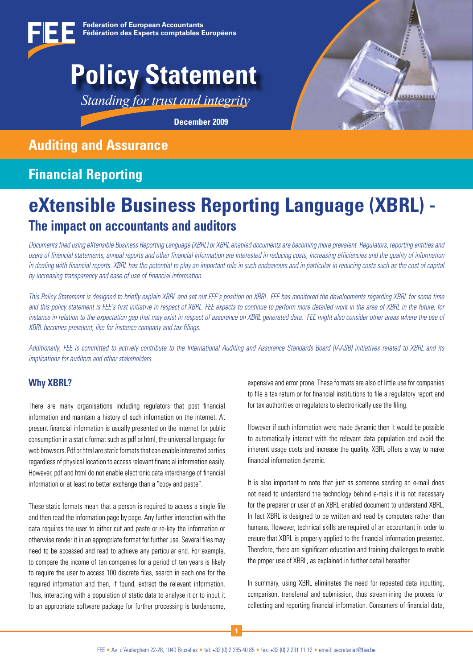

# **Policy Statement**

*Standing for trust and integrity*

**December 2009** 

# **Auditing and Assurance**

# **Financial Reporting**

# **eXtensible Business Reporting Language (XBRL) - The impact on accountants and auditors**

*Documents filed using eXtensible Business Reporting Language (XBRL) or XBRL enabled documents are becoming more prevalent. Regulators, reporting entities and users of financial statements, annual reports and other financial information are interested in reducing costs, increasing efficiencies and the quality of information in dealing with financial reports. XBRL has the potential to play an important role in such endeavours and in particular in reducing costs such as the cost of capital by increasing transparency and ease of use of financial information.* 

*This Policy Statement is designed to briefly explain XBRL and set out FEE's position on XBRL. FEE has monitored the developments regarding XBRL for some time*  and this policy statement is FEE's first initiative in respect of XBRL. FEE expects to continue to perform more detailed work in the area of XBRL in the future, for *instance in relation to the expectation gap that may exist in respect of assurance on XBRL generated data. FEE might also consider other areas where the use of XBRL becomes prevalent, like for instance company and tax filings.* 

*Additionally, FEE is committed to actively contribute to the International Auditing and Assurance Standards Board (IAASB) initiatives related to XBRL and its implications for auditors and other stakeholders.*

### **Why XBRL?**

There are many organisations including regulators that post financial information and maintain a history of such information on the internet. At present financial information is usually presented on the internet for public consumption in a static format such as pdf or html, the universal language for web browsers. Pdf or html are static formats that can enable interested parties regardless of physical location to access relevant financial information easily. However, pdf and html do not enable electronic data interchange of financial information or at least no better exchange than a "copy and paste".

These static formats mean that a person is required to access a single file and then read the information page by page. Any further interaction with the data requires the user to either cut and paste or re-key the information or otherwise render it in an appropriate format for further use. Several files may need to be accessed and read to achieve any particular end. For example, to compare the income of ten companies for a period of ten years is likely to require the user to access 100 discrete files, search in each one for the required information and then, if found, extract the relevant information. Thus, interacting with a population of static data to analyse it or to input it to an appropriate software package for further processing is burdensome,

expensive and error prone. These formats are also of little use for companies to file a tax return or for financial institutions to file a regulatory report and for tax authorities or regulators to electronically use the filing.

However if such information were made dynamic then it would be possible to automatically interact with the relevant data population and avoid the inherent usage costs and increase the quality. XBRL offers a way to make financial information dynamic.

It is also important to note that just as someone sending an e-mail does not need to understand the technology behind e-mails it is not necessary for the preparer or user of an XBRL enabled document to understand XBRL. In fact XBRL is designed to be written and read by computers rather than humans. However, technical skills are required of an accountant in order to ensure that XBRL is properly applied to the financial information presented. Therefore, there are significant education and training challenges to enable the proper use of XBRL, as explained in further detail hereafter.

In summary, using XBRL eliminates the need for repeated data inputting, comparison, transferral and submission, thus streamlining the process for collecting and reporting financial information. Consumers of financial data,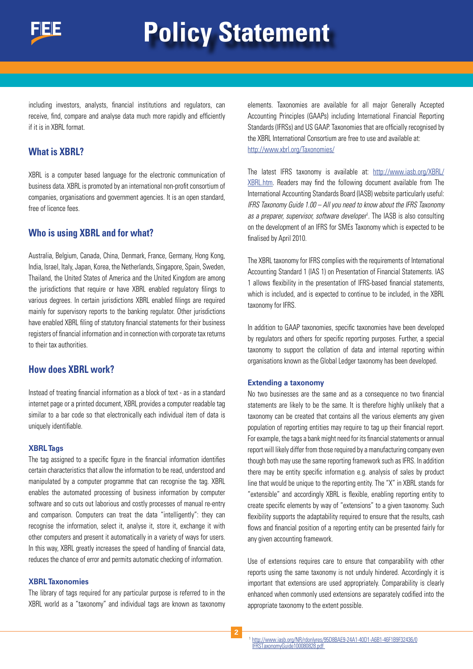

# **Policy Statement**

including investors, analysts, financial institutions and regulators, can receive, find, compare and analyse data much more rapidly and efficiently if it is in XBRL format.

#### **What is XBRL?**

XBRL is a computer based language for the electronic communication of business data. XBRL is promoted by an international non-profit consortium of companies, organisations and government agencies. It is an open standard, free of licence fees.

#### **Who is using XBRL and for what?**

Australia, Belgium, Canada, China, Denmark, France, Germany, Hong Kong, India, Israel, Italy, Japan, Korea, the Netherlands, Singapore, Spain, Sweden, Thailand, the United States of America and the United Kingdom are among the jurisdictions that require or have XBRL enabled regulatory filings to various degrees. In certain jurisdictions XBRL enabled filings are required mainly for supervisory reports to the banking regulator. Other jurisdictions have enabled XBRL filing of statutory financial statements for their business registers of financial information and in connection with corporate tax returns to their tax authorities.

#### **How does XBRL work?**

Instead of treating financial information as a block of text - as in a standard internet page or a printed document, XBRL provides a computer readable tag similar to a bar code so that electronically each individual item of data is uniquely identifiable.

#### **XBRL Tags**

The tag assigned to a specific figure in the financial information identifies certain characteristics that allow the information to be read, understood and manipulated by a computer programme that can recognise the tag. XBRL enables the automated processing of business information by computer software and so cuts out laborious and costly processes of manual re-entry and comparison. Computers can treat the data "intelligently": they can recognise the information, select it, analyse it, store it, exchange it with other computers and present it automatically in a variety of ways for users. In this way, XBRL greatly increases the speed of handling of financial data, reduces the chance of error and permits automatic checking of information.

#### **XBRL Taxonomies**

The library of tags required for any particular purpose is referred to in the XBRL world as a "taxonomy" and individual tags are known as taxonomy elements. Taxonomies are available for all major Generally Accepted Accounting Principles (GAAPs) including International Financial Reporting Standards (IFRSs) and US GAAP. Taxonomies that are officially recognised by the XBRL International Consortium are free to use and available at: http://www.xbrl.org/Taxonomies/

The latest IFRS taxonomy is available at: http://www.iasb.org/XBRL/ XBRL.htm. Readers may find the following document available from The International Accounting Standards Board (IASB) website particularly useful: *IFRS Taxonomy Guide 1.00 – All you need to know about the IFRS Taxonomy*  as a preparer, supervisor, software developer<sup>1</sup>. The IASB is also consulting on the development of an IFRS for SMEs Taxonomy which is expected to be finalised by April 2010.

The XBRL taxonomy for IFRS complies with the requirements of International Accounting Standard 1 (IAS 1) on Presentation of Financial Statements. IAS 1 allows flexibility in the presentation of IFRS-based financial statements, which is included, and is expected to continue to be included, in the XBRL taxonomy for IFRS.

In addition to GAAP taxonomies, specific taxonomies have been developed by regulators and others for specific reporting purposes. Further, a special taxonomy to support the collation of data and internal reporting within organisations known as the Global Ledger taxonomy has been developed.

#### **Extending a taxonomy**

No two businesses are the same and as a consequence no two financial statements are likely to be the same. It is therefore highly unlikely that a taxonomy can be created that contains all the various elements any given population of reporting entities may require to tag up their financial report. For example, the tags a bank might need for its financial statements or annual report will likely differ from those required by a manufacturing company even though both may use the same reporting framework such as IFRS. In addition there may be entity specific information e.g. analysis of sales by product line that would be unique to the reporting entity. The "X" in XBRL stands for "extensible" and accordingly XBRL is flexible, enabling reporting entity to create specific elements by way of "extensions" to a given taxonomy. Such flexibility supports the adaptability required to ensure that the results, cash flows and financial position of a reporting entity can be presented fairly for any given accounting framework.

Use of extensions requires care to ensure that comparability with other reports using the same taxonomy is not unduly hindered. Accordingly it is important that extensions are used appropriately. Comparability is clearly enhanced when commonly used extensions are separately codified into the appropriate taxonomy to the extent possible.

<sup>1</sup> http://www.iasb.org/NR/rdonlyres/95D8BAE9-24A1-40D1-A6B1-46F1B9F32436/0 IFRSTaxonomyGuide100080828.pdf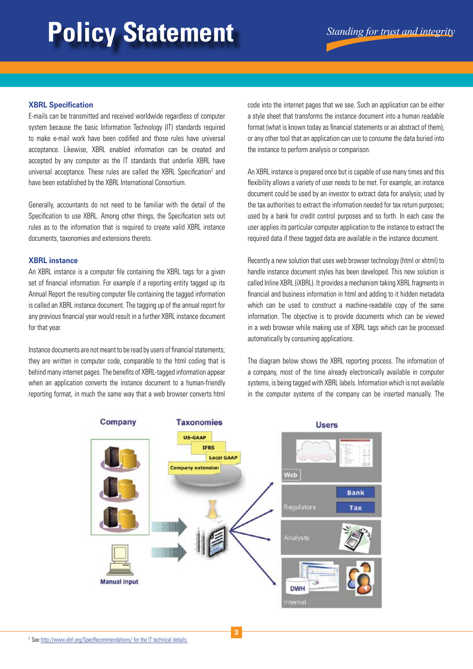# **Policy Statement** *Standing for trust and integrity*

#### **XBRL Specification**

E-mails can be transmitted and received worldwide regardless of computer system because the basic Information Technology (IT) standards required to make e-mail work have been codified and those rules have universal acceptance. Likewise, XBRL enabled information can be created and accepted by any computer as the IT standards that underlie XBRL have universal acceptance. These rules are called the XBRL Specification<sup>2</sup> and have been established by the XBRL International Consortium.

Generally, accountants do not need to be familiar with the detail of the Specification to use XBRL. Among other things, the Specification sets out rules as to the information that is required to create valid XBRL instance documents, taxonomies and extensions thereto.

#### **XBRL instance**

An XBRL instance is a computer file containing the XBRL tags for a given set of financial information. For example if a reporting entity tagged up its Annual Report the resulting computer file containing the tagged information is called an XBRL instance document. The tagging up of the annual report for any previous financial year would result in a further XBRL instance document for that year.

Instance documents are not meant to be read by users of financial statements; they are written in computer code, comparable to the html coding that is behind many internet pages. The benefits of XBRL-tagged information appear when an application converts the instance document to a human-friendly reporting format, in much the same way that a web browser converts html

code into the internet pages that we see. Such an application can be either a style sheet that transforms the instance document into a human readable format (what is known today as financial statements or an abstract of them), or any other tool that an application can use to consume the data buried into the instance to perform analysis or comparison.

An XBRL instance is prepared once but is capable of use many times and this flexibility allows a variety of user needs to be met. For example, an instance document could be used by an investor to extract data for analysis; used by the tax authorities to extract the information needed for tax return purposes; used by a bank for credit control purposes and so forth. In each case the user applies its particular computer application to the instance to extract the required data if these tagged data are available in the instance document.

Recently a new solution that uses web browser technology (html or xhtml) to handle instance document styles has been developed. This new solution is called Inline XBRL (iXBRL). It provides a mechanism taking XBRL fragments in financial and business information in html and adding to it hidden metadata which can be used to construct a machine-readable copy of the same information. The objective is to provide documents which can be viewed in a web browser while making use of XBRL tags which can be processed automatically by consuming applications.

The diagram below shows the XBRL reporting process. The information of a company, most of the time already electronically available in computer systems, is being tagged with XBRL labels. Information which is not available in the computer systems of the company can be inserted manually. The

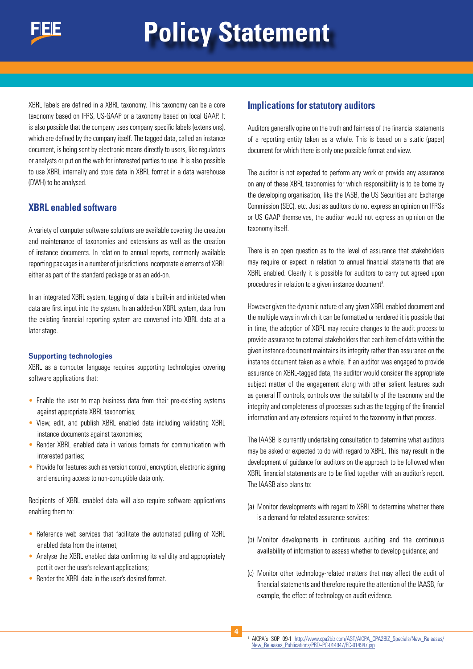XBRL labels are defined in a XBRL taxonomy. This taxonomy can be a core taxonomy based on IFRS, US-GAAP or a taxonomy based on local GAAP. It is also possible that the company uses company specific labels (extensions), which are defined by the company itself. The tagged data, called an instance document, is being sent by electronic means directly to users, like regulators or analysts or put on the web for interested parties to use. It is also possible to use XBRL internally and store data in XBRL format in a data warehouse (DWH) to be analysed.

### **XBRL enabled software**

A variety of computer software solutions are available covering the creation and maintenance of taxonomies and extensions as well as the creation of instance documents. In relation to annual reports, commonly available reporting packages in a number of jurisdictions incorporate elements of XBRL either as part of the standard package or as an add-on.

In an integrated XBRL system, tagging of data is built-in and initiated when data are first input into the system. In an added-on XBRL system, data from the existing financial reporting system are converted into XBRL data at a later stage.

#### **Supporting technologies**

XBRL as a computer language requires supporting technologies covering software applications that:

- Enable the user to map business data from their pre-existing systems against appropriate XBRL taxonomies;
- View, edit, and publish XBRL enabled data including validating XBRL instance documents against taxonomies;
- Render XBRL enabled data in various formats for communication with interested parties;
- Provide for features such as version control, encryption, electronic signing and ensuring access to non-corruptible data only.

Recipients of XBRL enabled data will also require software applications enabling them to:

- Reference web services that facilitate the automated pulling of XBRL enabled data from the internet;
- Analyse the XBRL enabled data confirming its validity and appropriately port it over the user's relevant applications;
- Render the XBRL data in the user's desired format.

#### **Implications for statutory auditors**

Auditors generally opine on the truth and fairness of the financial statements of a reporting entity taken as a whole. This is based on a static (paper) document for which there is only one possible format and view.

The auditor is not expected to perform any work or provide any assurance on any of these XBRL taxonomies for which responsibility is to be borne by the developing organisation, like the IASB, the US Securities and Exchange Commission (SEC), etc. Just as auditors do not express an opinion on IFRSs or US GAAP themselves, the auditor would not express an opinion on the taxonomy itself.

There is an open question as to the level of assurance that stakeholders may require or expect in relation to annual financial statements that are XBRL enabled. Clearly it is possible for auditors to carry out agreed upon procedures in relation to a given instance document<sup>3</sup>.

However given the dynamic nature of any given XBRL enabled document and the multiple ways in which it can be formatted or rendered it is possible that in time, the adoption of XBRL may require changes to the audit process to provide assurance to external stakeholders that each item of data within the given instance document maintains its integrity rather than assurance on the instance document taken as a whole. If an auditor was engaged to provide assurance on XBRL-tagged data, the auditor would consider the appropriate subject matter of the engagement along with other salient features such as general IT controls, controls over the suitability of the taxonomy and the integrity and completeness of processes such as the tagging of the financial information and any extensions required to the taxonomy in that process.

The IAASB is currently undertaking consultation to determine what auditors may be asked or expected to do with regard to XBRL. This may result in the development of guidance for auditors on the approach to be followed when XBRL financial statements are to be filed together with an auditor's report. The IAASB also plans to:

- (a) Monitor developments with regard to XBRL to determine whether there is a demand for related assurance services;
- (b) Monitor developments in continuous auditing and the continuous availability of information to assess whether to develop guidance; and
- (c) Monitor other technology-related matters that may affect the audit of financial statements and therefore require the attention of the IAASB, for example, the effect of technology on audit evidence.

**4**

<sup>&</sup>lt;sup>3</sup> AICPA's SOP 09-1 http://www.cpa2biz.com/AST/AICPA\_CPA2BIZ\_Specials/New\_Releases/ New\_Releases\_Publications/PRD~PC-014947/PC-014947.jsp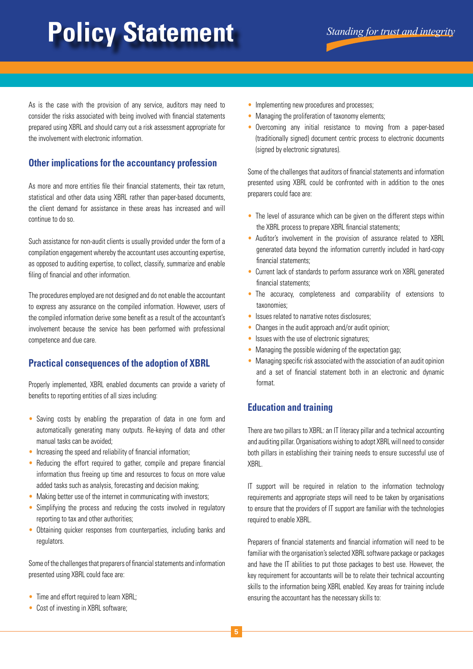# **Policy Statement** *Standing for trust and integrity*

As is the case with the provision of any service, auditors may need to consider the risks associated with being involved with financial statements prepared using XBRL and should carry out a risk assessment appropriate for the involvement with electronic information.

# **Other implications for the accountancy profession**

As more and more entities file their financial statements, their tax return, statistical and other data using XBRL rather than paper-based documents, the client demand for assistance in these areas has increased and will continue to do so.

Such assistance for non-audit clients is usually provided under the form of a compilation engagement whereby the accountant uses accounting expertise, as opposed to auditing expertise, to collect, classify, summarize and enable filing of financial and other information.

The procedures employed are not designed and do not enable the accountant to express any assurance on the compiled information. However, users of the compiled information derive some benefit as a result of the accountant's involvement because the service has been performed with professional competence and due care.

## **Practical consequences of the adoption of XBRL**

Properly implemented, XBRL enabled documents can provide a variety of benefits to reporting entities of all sizes including:

- Saving costs by enabling the preparation of data in one form and automatically generating many outputs. Re-keying of data and other manual tasks can be avoided;
- Increasing the speed and reliability of financial information;
- Reducing the effort required to gather, compile and prepare financial information thus freeing up time and resources to focus on more value added tasks such as analysis, forecasting and decision making;
- Making better use of the internet in communicating with investors;
- Simplifying the process and reducing the costs involved in regulatory reporting to tax and other authorities;
- Obtaining quicker responses from counterparties, including banks and regulators.

Some of the challenges that preparers of financial statements and information presented using XBRL could face are:

- Time and effort required to learn XBRL:
- Cost of investing in XBRL software;
- Implementing new procedures and processes;
- Managing the proliferation of taxonomy elements;
- Overcoming any initial resistance to moving from a paper-based (traditionally signed) document centric process to electronic documents (signed by electronic signatures).

Some of the challenges that auditors of financial statements and information presented using XBRL could be confronted with in addition to the ones preparers could face are:

- The level of assurance which can be given on the different steps within the XBRL process to prepare XBRL financial statements;
- Auditor's involvement in the provision of assurance related to XBRL generated data beyond the information currently included in hard-copy financial statements;
- Current lack of standards to perform assurance work on XBRL generated financial statements;
- The accuracy, completeness and comparability of extensions to taxonomies;
- Issues related to narrative notes disclosures;
- Changes in the audit approach and/or audit opinion;
- Issues with the use of electronic signatures;
- Managing the possible widening of the expectation gap;
- Managing specific risk associated with the association of an audit opinion and a set of financial statement both in an electronic and dynamic format.

## **Education and training**

There are two pillars to XBRL: an IT literacy pillar and a technical accounting and auditing pillar. Organisations wishing to adopt XBRL will need to consider both pillars in establishing their training needs to ensure successful use of XBRL.

IT support will be required in relation to the information technology requirements and appropriate steps will need to be taken by organisations to ensure that the providers of IT support are familiar with the technologies required to enable XBRL.

Preparers of financial statements and financial information will need to be familiar with the organisation's selected XBRL software package or packages and have the IT abilities to put those packages to best use. However, the key requirement for accountants will be to relate their technical accounting skills to the information being XBRL enabled. Key areas for training include ensuring the accountant has the necessary skills to: